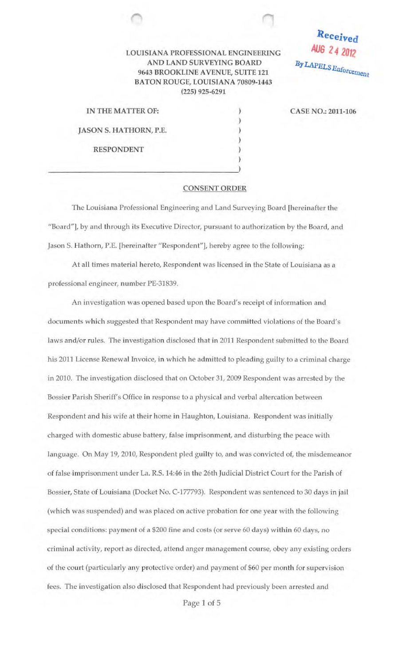## LOUISIANA PROFESSIONAL ENGINEERING AND LAND SURVEYING BOARD 9643 BROOKLINE A VENUE, SUITE 121 BATON ROUGE, LOUISIANA 70809-1443 (225) 925-6291

IN THE MATTER OF: JASON S. HATHORN, P.E. RESPONDENT

 $\overline{\mathbf{S}}$ 

CASE NO.: 2011-106

Received

**AUG 2** ~ **<sup>2012</sup>**

 $By LAPELS$ *Enforcement* 

## CONSENT ORDER

) ) ) ) ) )

The Louisiana Professional Engineering and Land Surveying Board [hereinafter the "Board"], by and through its Executive Director, pursuant to authorization by the Board, and Jason S. Hathorn, P.E. [hereinafter ''Respondent"], hereby agree to the following:

At all times material hereto, Respondent was licensed in the State of Louisiana as a professional engineer, number PE-31839.

An investigation was opened based upon the Board's receipt of information and documents which suggested that Respondent may have committed violations of the Board's laws and/or rules. The investigation disclosed that in 2011 Respondent submitted to the Board his 2011 License Renewal Invoice, in which he admitted to pleading guilty to a criminal charge in 2010. The investigation disclosed that on October 31, 2009 Respondent was arrested by the Bossier Parish Sheriff's Office in response to a physical and verbal altercation between Respondent and his wife at their home in Haughton, Louisiana. Respondent was initially charged with domestic abuse battery, false imprisonment, and disturbing the peace with language. On May 19, 2010, Respondent pled guilty to, and was convicted of, the misdemeanor of false imprisonment under La. R.S. 14:46 in the 26th Judicial District Court for the Parish of Bossier, State of Louisiana (Docket No. C-177793). Respondent was sentenced to 30 days in jail (which was suspended) and was placed on active probation for one year with the following special conditions: payment of a \$200 fine and costs (or serve 60 days) within 60 days, no criminal activity, report as directed, attend anger management course, obey any existing orders of the court (particularly any protective order) and payment of \$60 per month for supervision fees. The investigation also disclosed that Respondent had previously been arrested and

Page 1 of 5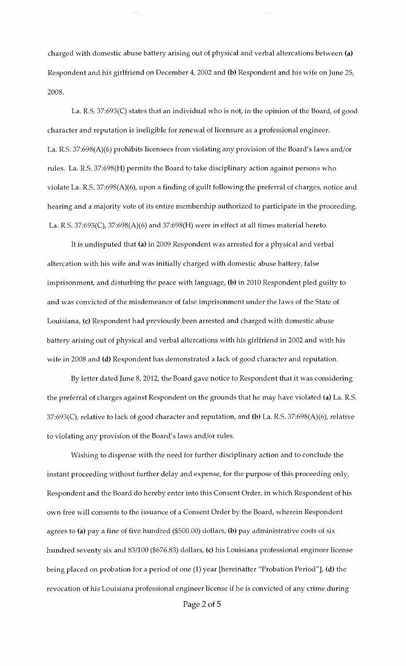charged with domestic abuse battery arising out of physical and verbal altercations between **(a)**  Respondent and his girlfriend on December 4, 2002 and **(b)** Respondent and his wife on June 25, 2008.

 $\hat{\rho}$  is a  $\hat{\rho}_{\rm eq}$ 

La. R.S. 37:693(C) states that an individual who is not, in the opinion of the Board, of good character and reputation is ineligible for renewal of licensure as a professional engineer. La. R.S. 37:698(A)(6) prohibits licensees from violating any provision of the Board's laws and/or rules. La. R.S. 37:698(H) permits the Board to take disciplinary action against persons who violate La. R.S. 37:698(A)(6), upon a finding of guilt following the preferral of charges, notice and hearing and a majority vote of its entire membership authorized to participate in the proceeding. La. R.S. 37:693(C), 37:698(A)(6) and 37:698(H) were in effect at all times material hereto.

It is undisputed that **(a)** in 2009 Respondent was arrested for a physical and verbal altercation with his wife and was initially charged with domestic abuse battery, false imprisonment, and disturbing the peace with language, **(b)** in 2010 Respondent pled guilty to and was convicted of the misdemeanor of false imprisonment under the laws of the State of Louisiana, (c) Respondent had previously been arrested and charged with domestic abuse battery arising out of physical and verbal altercations with his girlfriend in 2002 and with his wife in 2008 and **(d)** Respondent has demonstrated a lack of good character and reputation.

By letter dated June 8, 2012, the Board gave notice to Respondent that it was considering the preferral of charges against Respondent on the grounds that he may have violated **(a)** La. R.S. 37:693(C), relative to lack of good character and reputation, and **(b)** La. R.S. 37:698(A)(6), relative to violating any provision of the Board's laws and/or rules.

Wishing to dispense with the need for further disciplinary action and to conclude the instant proceeding without further delay and expense, for the purpose of this proceeding only, Respondent and the Board do hereby enter into this Consent Order, in which Respondent of his own free will consents to the issuance of a Consent Order by the Board, wherein Respondent agrees to (a) pay a fine of five hundred (\$500.00) dollars, (b) pay administrative costs of six hundred seventy six and 83/100 (\$676.83) dollars, (c) his Louisiana professional engineer license being placed on probation for a period of one (1) year [hereinafter "Probation Period"], **(d)** the revocation of his Louisiana professional engineer license if he is convicted of any crime during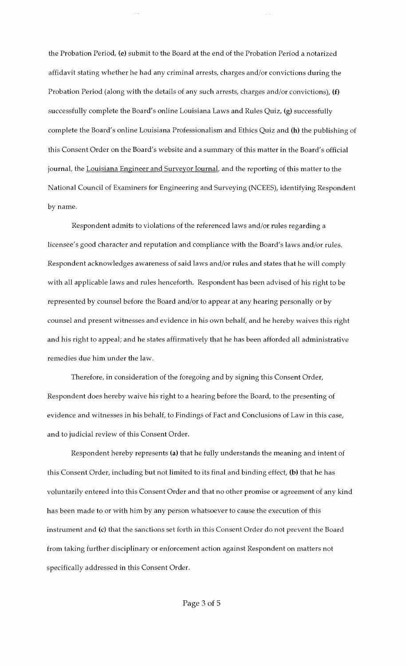the Probation Period, (e) submit to the Board at the end of the Probation Period a notarized affidavit stating whether he had any criminal arrests, charges and/or convictions during the Probation Period (along with the details of any such arrests, charges and/or convictions), (f) successfully complete the Board's online Louisiana Laws and Rules Quiz, (g) successfully complete the Board's online Louisiana Professionalism and Ethics Quiz and (h) the publishing of this Consent Order on the Board's website and a summary of this matter in the Board's official journal, the Louisiana Engineer and Surveyor Journal, and the reporting of this matter to the National Council of Examiners for Engineering and Surveying (NCEES), identifying Respondent by name.

Respondent admits to violations of the referenced laws and/or rules regarding a licensee's good character and reputation and compliance with the Board's laws and/or rules. Respondent acknowledges awareness of said laws and/or rules and states that he will comply with all applicable laws and rules henceforth. Respondent has been advised of his right to be represented by counsel before the Board and/or to appear at any hearing personally or by counsel and present witnesses and evidence in his own behalf, and he hereby waives this right and his right to appeal; and he states affirmatively that he has been afforded all administrative remedies due him under the law.

Therefore, in consideration of the foregoing and by signing this Consent Order, Respondent does hereby waive his right to a hearing before the Board, to the presenting of evidence and witnesses in his behalf, to Findings of Fact and Conclusions of Law in this case, and to judicial review of this Consent Order.

Respondent hereby represents (a) that he fully understands the meaning and intent of this Consent Order, including but not limited to its final and binding effect, (b) that he has voluntarily entered into this Consent Order and that no other promise or agreement of any kind has been made to or with him by any person whatsoever to cause the execution of this instrument and (c) that the sanctions set forth in this Consent Order do not prevent the Board from taking further disciplinary or enforcement action against Respondent on matters not specifically addressed in this Consent Order.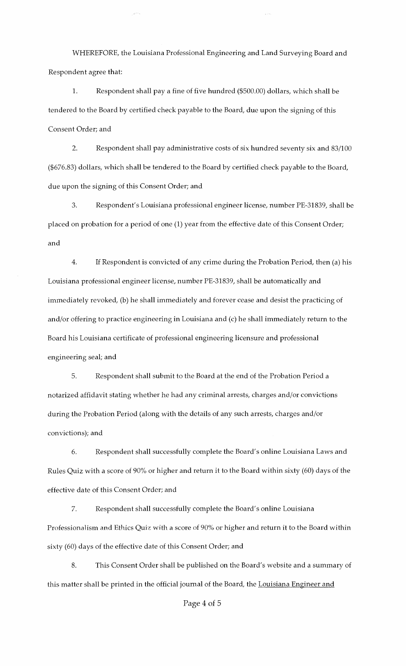WHEREFORE, the Louisiana Professional Engineering and Land Surveying Board and Respondent agree that:

1. Respondent shall pay a fine of five hundred (\$500.00) dollars, which shall be tendered to the Board by certified check payable to the Board, due upon the signing of this Consent Order; and

2. Respondent shall pay administrative costs of six hundred seventy six and 83/100 (\$676.83) dollars, which shall be tendered to the Board by certified check payable to the Board, due upon the signing of this Consent Order; and

3. Respondent's Louisiana professional engineer license, number PE-31839, shall be placed on probation for a period of one (1) year from the effective date of this Consent Order; and

4. If Respondent is convicted of any crime during the Probation Period, then (a) his Louisiana professional engineer license, number PE-31839, shall be automatically and immediately revoked, (b) he shall immediately and forever cease and desist the practicing of and/or offering to practice engineering in Louisiana and (c) he shall immediately return to the Board his Louisiana certificate of professional engineering licensure and professional engineering seal; and

5. Respondent shall submit to the Board at the end of the Probation Period a notarized affidavit stating whether he had any criminal arrests, charges and/or convictions during the Probation Period (along with the details of any such arrests, charges and/or convictions); and

6. Respondent shall successfully complete the Board's online Louisiana Laws and Rules Quiz with a score of 90% or higher and return it to the Board within sixty (60) days of the effective date of this Consent Order; and

7. Respondent shall successfully complete the Board's online Louisiana Professionalism and Ethics Quiz with a score of 90% or higher and return it to the Board within sixty (60) days of the effective date of this Consent Order; and

8. This Consent Order shall be published on the Board's website and a summary of this matter shall be printed in the official journal of the Board, the Louisiana Engineer and